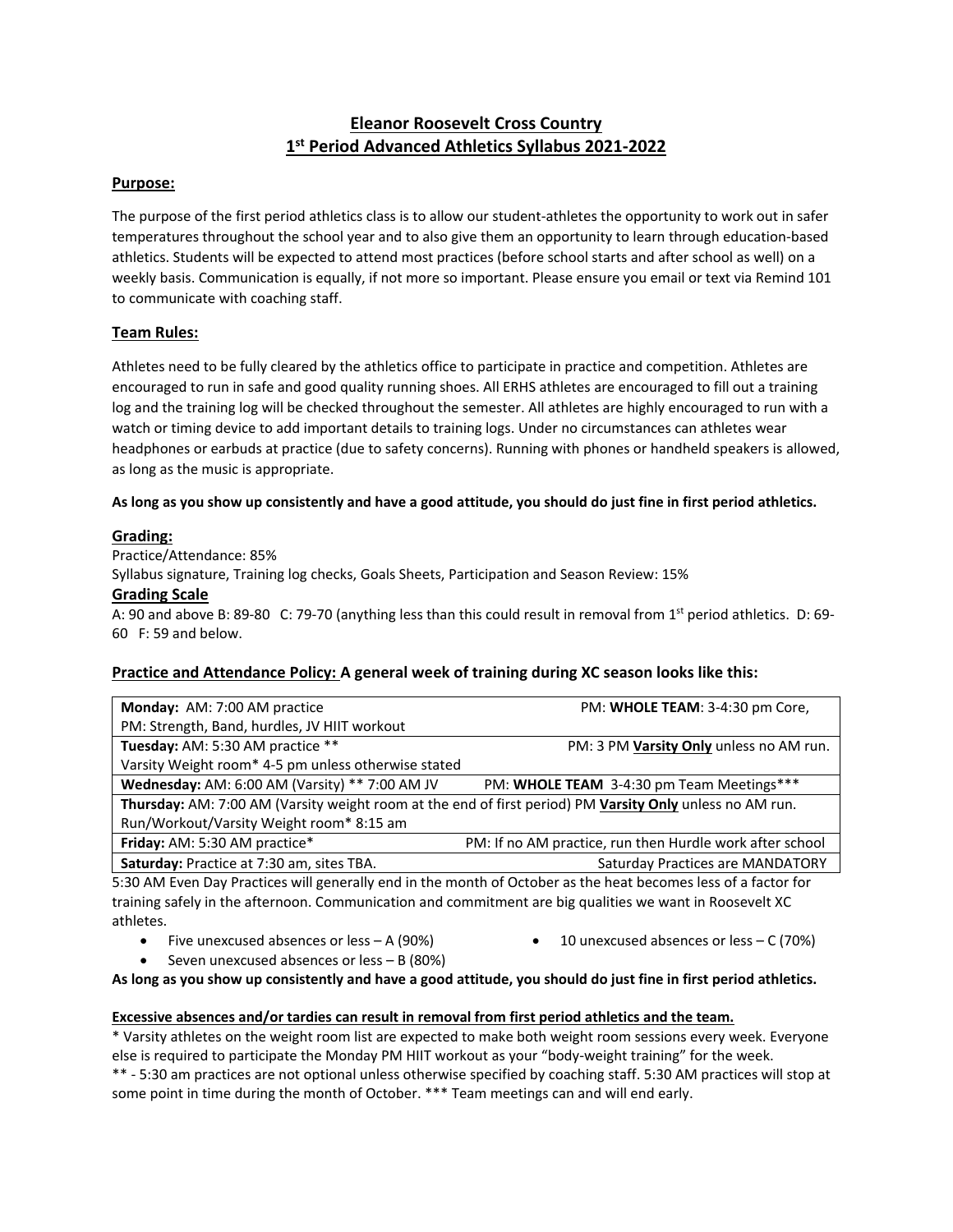# **Eleanor Roosevelt Cross Country 1 st Period Advanced Athletics Syllabus 2021-2022**

## **Purpose:**

The purpose of the first period athletics class is to allow our student-athletes the opportunity to work out in safer temperatures throughout the school year and to also give them an opportunity to learn through education-based athletics. Students will be expected to attend most practices (before school starts and after school as well) on a weekly basis. Communication is equally, if not more so important. Please ensure you email or text via Remind 101 to communicate with coaching staff.

## **Team Rules:**

Athletes need to be fully cleared by the athletics office to participate in practice and competition. Athletes are encouraged to run in safe and good quality running shoes. All ERHS athletes are encouraged to fill out a training log and the training log will be checked throughout the semester. All athletes are highly encouraged to run with a watch or timing device to add important details to training logs. Under no circumstances can athletes wear headphones or earbuds at practice (due to safety concerns). Running with phones or handheld speakers is allowed, as long as the music is appropriate.

#### **As long as you show up consistently and have a good attitude, you should do just fine in first period athletics.**

## **Grading:**

Practice/Attendance: 85%

Syllabus signature, Training log checks, Goals Sheets, Participation and Season Review: 15%

#### **Grading Scale**

A: 90 and above B: 89-80 C: 79-70 (anything less than this could result in removal from 1<sup>st</sup> period athletics. D: 69-60 F: 59 and below.

## **Practice and Attendance Policy: A general week of training during XC season looks like this:**

| Monday: AM: 7:00 AM practice                                                                             | PM: WHOLE TEAM: 3-4:30 pm Core,                          |
|----------------------------------------------------------------------------------------------------------|----------------------------------------------------------|
| PM: Strength, Band, hurdles, JV HIIT workout                                                             |                                                          |
| Tuesday: AM: 5:30 AM practice **                                                                         | PM: 3 PM Varsity Only unless no AM run.                  |
| Varsity Weight room* 4-5 pm unless otherwise stated                                                      |                                                          |
| Wednesday: AM: 6:00 AM (Varsity) ** 7:00 AM JV                                                           | PM: WHOLE TEAM 3-4:30 pm Team Meetings***                |
| Thursday: AM: 7:00 AM (Varsity weight room at the end of first period) PM Varsity Only unless no AM run. |                                                          |
| Run/Workout/Varsity Weight room* 8:15 am                                                                 |                                                          |
| Friday: AM: 5:30 AM practice*                                                                            | PM: If no AM practice, run then Hurdle work after school |
| Saturday: Practice at 7:30 am, sites TBA.                                                                | Saturday Practices are MANDATORY                         |

5:30 AM Even Day Practices will generally end in the month of October as the heat becomes less of a factor for training safely in the afternoon. Communication and commitment are big qualities we want in Roosevelt XC athletes.

- Five unexcused absences or less A (90%)
- 10 unexcused absences or less C (70%)
- Seven unexcused absences or less B (80%)

**As long as you show up consistently and have a good attitude, you should do just fine in first period athletics.**

#### **Excessive absences and/or tardies can result in removal from first period athletics and the team.**

\* Varsity athletes on the weight room list are expected to make both weight room sessions every week. Everyone else is required to participate the Monday PM HIIT workout as your "body-weight training" for the week.

\*\* - 5:30 am practices are not optional unless otherwise specified by coaching staff. 5:30 AM practices will stop at some point in time during the month of October. \*\*\* Team meetings can and will end early.